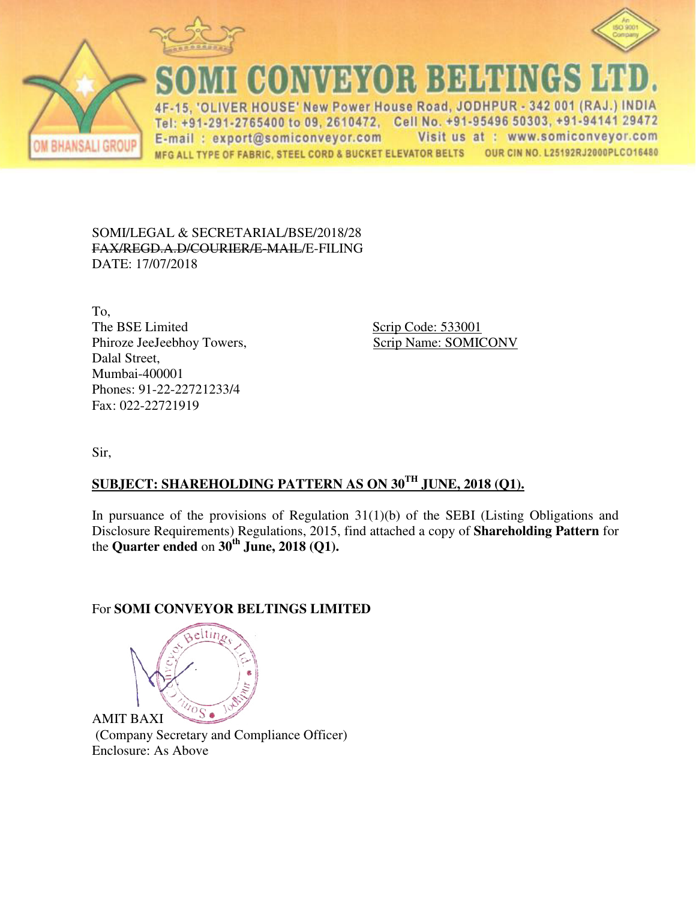



**CONVEYOR BELTINGS** 

-15. 'OLIVER HOUSE' New Power House Road, JODHPUR - 342 001 (RAJ.) INDIA  $4F$ Tel: +91-291-2765400 to 09, 2610472, Cell No. +91-95496 50303, +91-94141 29472 Visit us at : www.somiconveyor.com E-mail: export@somiconveyor.com OUR CIN NO. L25192RJ2000PLCO16480 MFG ALL TYPE OF FABRIC, STEEL CORD & BUCKET ELEVATOR BELTS

## SOMI/LEGAL & SECRETARIAL/BSE/2018/28 FAX/REGD.A.D/COURIER/E-MAIL/E-FILING DATE: 17/07/2018

To, The BSE Limited Scrip Code: 533001 Phiroze JeeJeebhoy Towers, Scrip Name: SOMICONV Dalal Street, Mumbai-400001 Phones: 91-22-22721233/4 Fax: 022-22721919

Sir,

**BHANSALI GROU** 

## **SUBJECT: SHAREHOLDING PATTERN AS ON 30TH JUNE, 2018 (Q1).**

In pursuance of the provisions of Regulation 31(1)(b) of the SEBI (Listing Obligations and Disclosure Requirements) Regulations, 2015, find attached a copy of **Shareholding Pattern** for the **Quarter ended** on **30th June, 2018 (Q1).**

## For **SOMI CONVEYOR BELTINGS LIMITED**

eltır  $^{\circ}\mathrm{S}$  . AMIT BAXI

 (Company Secretary and Compliance Officer) Enclosure: As Above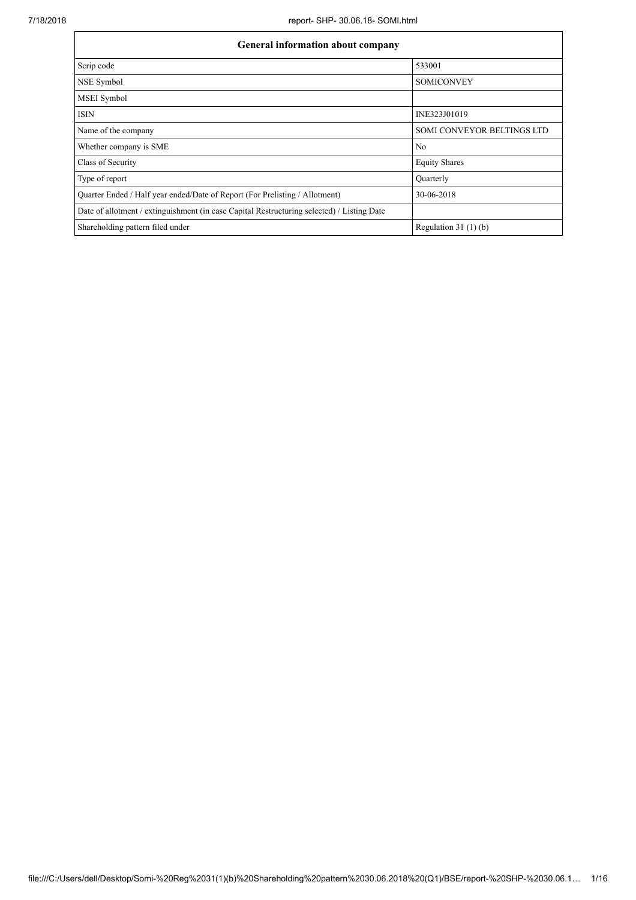| <b>General information about company</b>                                                   |                            |  |  |  |  |  |  |  |
|--------------------------------------------------------------------------------------------|----------------------------|--|--|--|--|--|--|--|
| Scrip code                                                                                 | 533001                     |  |  |  |  |  |  |  |
| NSE Symbol                                                                                 | <b>SOMICONVEY</b>          |  |  |  |  |  |  |  |
| <b>MSEI</b> Symbol                                                                         |                            |  |  |  |  |  |  |  |
| <b>ISIN</b>                                                                                | INE323J01019               |  |  |  |  |  |  |  |
| Name of the company                                                                        | SOMI CONVEYOR BELTINGS LTD |  |  |  |  |  |  |  |
| Whether company is SME                                                                     | N <sub>0</sub>             |  |  |  |  |  |  |  |
| Class of Security                                                                          | <b>Equity Shares</b>       |  |  |  |  |  |  |  |
| Type of report                                                                             | Quarterly                  |  |  |  |  |  |  |  |
| Quarter Ended / Half year ended/Date of Report (For Prelisting / Allotment)                | 30-06-2018                 |  |  |  |  |  |  |  |
| Date of allotment / extinguishment (in case Capital Restructuring selected) / Listing Date |                            |  |  |  |  |  |  |  |
| Shareholding pattern filed under                                                           | Regulation $31(1)(b)$      |  |  |  |  |  |  |  |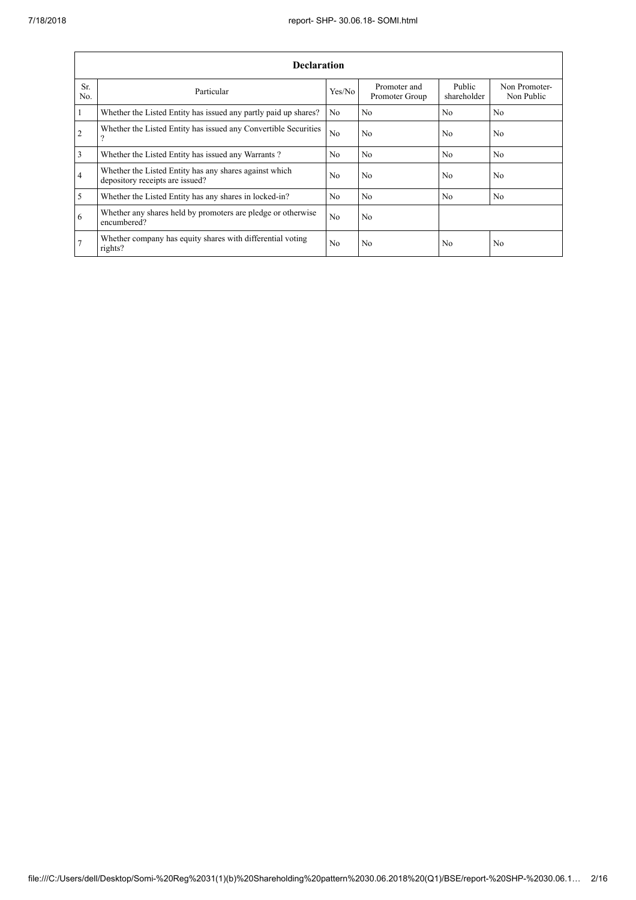|                 | <b>Declaration</b>                                                                        |                |                                |                       |                             |  |  |  |  |  |
|-----------------|-------------------------------------------------------------------------------------------|----------------|--------------------------------|-----------------------|-----------------------------|--|--|--|--|--|
| Sr.<br>No.      | Particular                                                                                | Yes/No         | Promoter and<br>Promoter Group | Public<br>shareholder | Non Promoter-<br>Non Public |  |  |  |  |  |
| $\mathbf{1}$    | Whether the Listed Entity has issued any partly paid up shares?                           | No.            | N <sub>0</sub>                 | N <sub>0</sub>        | N <sub>0</sub>              |  |  |  |  |  |
| $\overline{2}$  | Whether the Listed Entity has issued any Convertible Securities<br>?                      | No             | N <sub>0</sub>                 | N <sub>0</sub>        | N <sub>0</sub>              |  |  |  |  |  |
| $\overline{3}$  | Whether the Listed Entity has issued any Warrants?                                        | N <sub>0</sub> | N <sub>0</sub>                 | N <sub>0</sub>        | N <sub>0</sub>              |  |  |  |  |  |
| $\overline{4}$  | Whether the Listed Entity has any shares against which<br>depository receipts are issued? | N <sub>0</sub> | N <sub>0</sub>                 | N <sub>0</sub>        | N <sub>0</sub>              |  |  |  |  |  |
| 5               | Whether the Listed Entity has any shares in locked-in?                                    | N <sub>0</sub> | N <sub>0</sub>                 | N <sub>0</sub>        | N <sub>0</sub>              |  |  |  |  |  |
| 6               | Whether any shares held by promoters are pledge or otherwise<br>encumbered?               | N <sub>0</sub> | N <sub>0</sub>                 |                       |                             |  |  |  |  |  |
| $7\phantom{.0}$ | Whether company has equity shares with differential voting<br>rights?                     | N <sub>0</sub> | N <sub>0</sub>                 | N <sub>0</sub>        | N <sub>0</sub>              |  |  |  |  |  |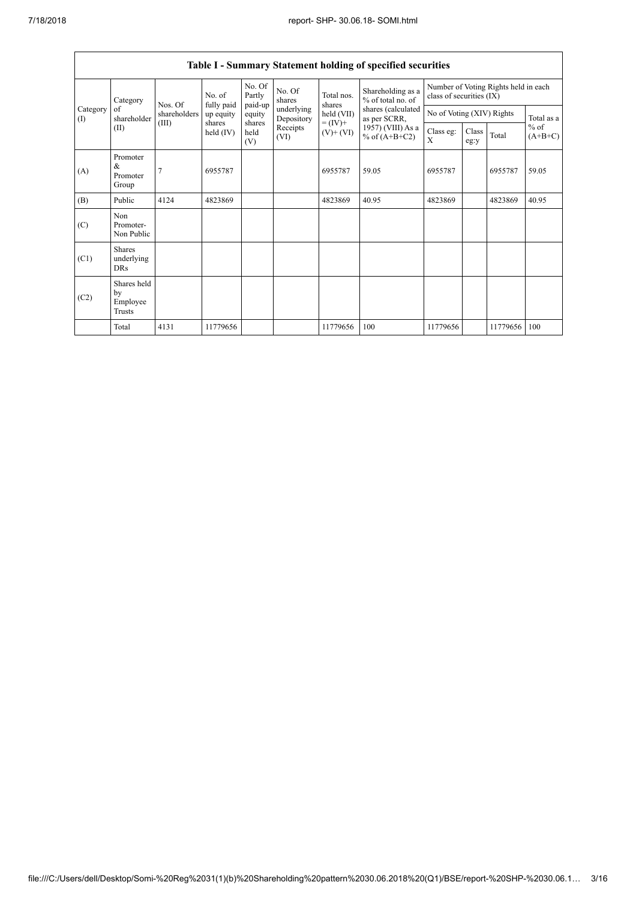$\mathbf{r}$ 

| <b>Table I - Summary Statement holding of specified securities</b> |                                           |                |                       |                             |                                                                  |                                                                    |                                                                                                                      |                                                                  |               |          |                     |
|--------------------------------------------------------------------|-------------------------------------------|----------------|-----------------------|-----------------------------|------------------------------------------------------------------|--------------------------------------------------------------------|----------------------------------------------------------------------------------------------------------------------|------------------------------------------------------------------|---------------|----------|---------------------|
|                                                                    | Category                                  | Nos. Of        | No. of<br>fully paid  | No. Of<br>Partly<br>paid-up | No. Of<br>shares<br>underlying<br>Depository<br>Receipts<br>(VI) | Total nos.<br>shares<br>held (VII)<br>$= (IV) +$<br>$(V)$ + $(VI)$ | Shareholding as a<br>% of total no. of<br>shares (calculated<br>as per SCRR,<br>1957) (VIII) As a<br>% of $(A+B+C2)$ | Number of Voting Rights held in each<br>class of securities (IX) |               |          |                     |
| Category<br>$\rm(D)$                                               | of<br>shareholder                         | shareholders   | up equity             | equity                      |                                                                  |                                                                    |                                                                                                                      | No of Voting (XIV) Rights                                        |               |          | Total as a          |
|                                                                    | (II)                                      | (III)          | shares<br>held $(IV)$ | shares<br>held<br>(V)       |                                                                  |                                                                    |                                                                                                                      | Class eg:<br>X                                                   | Class<br>eg:y | Total    | $%$ of<br>$(A+B+C)$ |
| (A)                                                                | Promoter<br>&<br>Promoter<br>Group        | $\overline{7}$ | 6955787               |                             |                                                                  | 6955787                                                            | 59.05                                                                                                                | 6955787                                                          |               | 6955787  | 59.05               |
| (B)                                                                | Public                                    | 4124           | 4823869               |                             |                                                                  | 4823869                                                            | 40.95                                                                                                                | 4823869                                                          |               | 4823869  | 40.95               |
| (C)                                                                | Non<br>Promoter-<br>Non Public            |                |                       |                             |                                                                  |                                                                    |                                                                                                                      |                                                                  |               |          |                     |
| (C1)                                                               | <b>Shares</b><br>underlying<br><b>DRs</b> |                |                       |                             |                                                                  |                                                                    |                                                                                                                      |                                                                  |               |          |                     |
| (C2)                                                               | Shares held<br>by<br>Employee<br>Trusts   |                |                       |                             |                                                                  |                                                                    |                                                                                                                      |                                                                  |               |          |                     |
|                                                                    | Total                                     | 4131           | 11779656              |                             |                                                                  | 11779656                                                           | 100                                                                                                                  | 11779656                                                         |               | 11779656 | 100                 |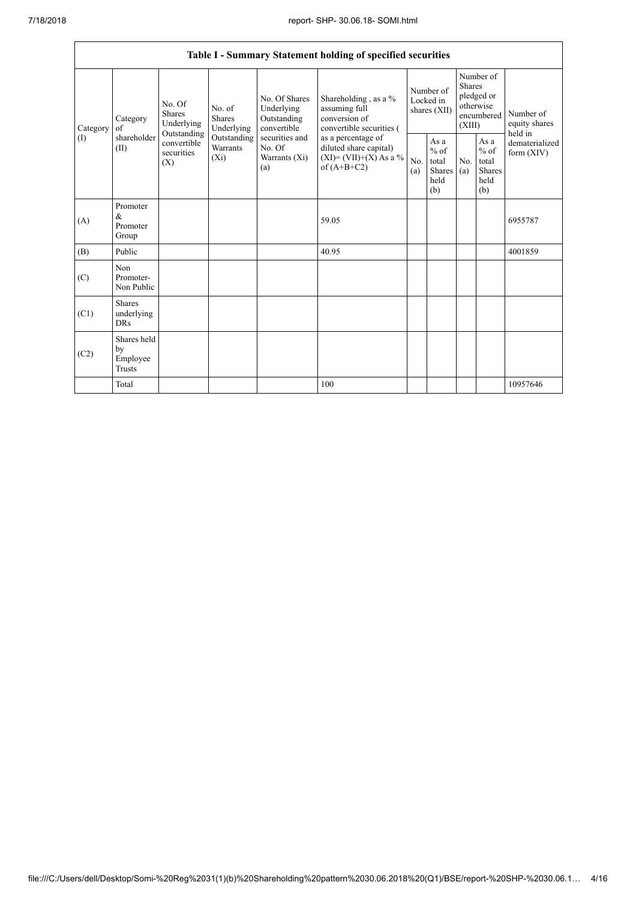| Table I - Summary Statement holding of specified securities |                                           |                                                                                          |                                    |                                                                                                               |                                                                                                                                                                                  |                                        |                                                  |                                                                               |                                                         |                                       |  |
|-------------------------------------------------------------|-------------------------------------------|------------------------------------------------------------------------------------------|------------------------------------|---------------------------------------------------------------------------------------------------------------|----------------------------------------------------------------------------------------------------------------------------------------------------------------------------------|----------------------------------------|--------------------------------------------------|-------------------------------------------------------------------------------|---------------------------------------------------------|---------------------------------------|--|
| Category<br>$($ $\Gamma$                                    | Category<br>of<br>shareholder<br>(II)     | No. Of<br><b>Shares</b><br>Underlying<br>Outstanding<br>convertible<br>securities<br>(X) | No. of<br>Shares<br>Underlying     | No. Of Shares<br>Underlying<br>Outstanding<br>convertible<br>securities and<br>No. Of<br>Warrants (Xi)<br>(a) | Shareholding, as a %<br>assuming full<br>conversion of<br>convertible securities (<br>as a percentage of<br>diluted share capital)<br>$(XI) = (VII)+(X) As a %$<br>of $(A+B+C2)$ | Number of<br>Locked in<br>shares (XII) |                                                  | Number of<br><b>Shares</b><br>pledged or<br>otherwise<br>encumbered<br>(XIII) |                                                         | Number of<br>equity shares<br>held in |  |
|                                                             |                                           |                                                                                          | Outstanding<br>Warrants<br>$(X_i)$ |                                                                                                               |                                                                                                                                                                                  | No.<br>(a)                             | As a<br>$%$ of<br>total<br>Shares<br>held<br>(b) | N <sub>o</sub><br>(a)                                                         | As a<br>$%$ of<br>total<br><b>Shares</b><br>held<br>(b) | dematerialized<br>form $(XIV)$        |  |
| (A)                                                         | Promoter<br>$\&$<br>Promoter<br>Group     |                                                                                          |                                    |                                                                                                               | 59.05                                                                                                                                                                            |                                        |                                                  |                                                                               |                                                         | 6955787                               |  |
| (B)                                                         | Public                                    |                                                                                          |                                    |                                                                                                               | 40.95                                                                                                                                                                            |                                        |                                                  |                                                                               |                                                         | 4001859                               |  |
| (C)                                                         | Non<br>Promoter-<br>Non Public            |                                                                                          |                                    |                                                                                                               |                                                                                                                                                                                  |                                        |                                                  |                                                                               |                                                         |                                       |  |
| (C1)                                                        | <b>Shares</b><br>underlying<br><b>DRs</b> |                                                                                          |                                    |                                                                                                               |                                                                                                                                                                                  |                                        |                                                  |                                                                               |                                                         |                                       |  |
| (C2)                                                        | Shares held<br>by<br>Employee<br>Trusts   |                                                                                          |                                    |                                                                                                               |                                                                                                                                                                                  |                                        |                                                  |                                                                               |                                                         |                                       |  |
|                                                             | Total                                     |                                                                                          |                                    |                                                                                                               | 100                                                                                                                                                                              |                                        |                                                  |                                                                               |                                                         | 10957646                              |  |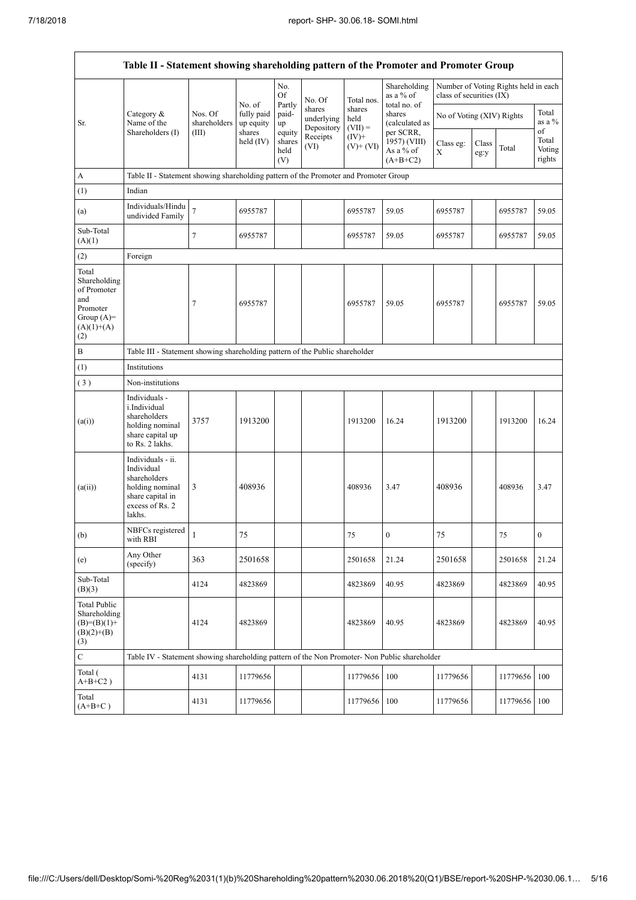$\mathsf{r}$ 

 $\overline{\phantom{a}}$ 

| Table II - Statement showing shareholding pattern of the Promoter and Promoter Group           |                                                                                                                     |                                                                                      |                                   |                                 |                                    |                             |                                                      |                           |               |                                      |                                 |  |
|------------------------------------------------------------------------------------------------|---------------------------------------------------------------------------------------------------------------------|--------------------------------------------------------------------------------------|-----------------------------------|---------------------------------|------------------------------------|-----------------------------|------------------------------------------------------|---------------------------|---------------|--------------------------------------|---------------------------------|--|
|                                                                                                |                                                                                                                     |                                                                                      |                                   | No.<br>Of                       | No. Of                             | Total nos.                  | Shareholding<br>as a $%$ of                          | class of securities (IX)  |               | Number of Voting Rights held in each |                                 |  |
| Sr.                                                                                            | Category &<br>Name of the<br>Shareholders (I)                                                                       | Nos. Of<br>shareholders                                                              | No. of<br>fully paid<br>up equity | Partly<br>paid-<br>up           | shares<br>underlying<br>Depository | shares<br>held<br>$(VII) =$ | total no. of<br>shares<br>(calculated as             | No of Voting (XIV) Rights |               |                                      | Total<br>as a %                 |  |
|                                                                                                |                                                                                                                     | (III)                                                                                | shares<br>held $(IV)$             | equity<br>shares<br>held<br>(V) | Receipts<br>(VI)                   | $(IV)+$<br>$(V)+(VI)$       | per SCRR,<br>1957) (VIII)<br>As a % of<br>$(A+B+C2)$ | Class eg:<br>X            | Class<br>eg:y | Total                                | of<br>Total<br>Voting<br>rights |  |
| A                                                                                              |                                                                                                                     | Table II - Statement showing shareholding pattern of the Promoter and Promoter Group |                                   |                                 |                                    |                             |                                                      |                           |               |                                      |                                 |  |
| (1)                                                                                            | Indian                                                                                                              |                                                                                      |                                   |                                 |                                    |                             |                                                      |                           |               |                                      |                                 |  |
| (a)                                                                                            | Individuals/Hindu<br>undivided Family                                                                               | $\overline{7}$                                                                       | 6955787                           |                                 |                                    | 6955787                     | 59.05                                                | 6955787                   |               | 6955787                              | 59.05                           |  |
| Sub-Total<br>(A)(1)                                                                            |                                                                                                                     | $\tau$                                                                               | 6955787                           |                                 |                                    | 6955787                     | 59.05                                                | 6955787                   |               | 6955787                              | 59.05                           |  |
| (2)                                                                                            | Foreign                                                                                                             |                                                                                      |                                   |                                 |                                    |                             |                                                      |                           |               |                                      |                                 |  |
| Total<br>Shareholding<br>of Promoter<br>and<br>Promoter<br>Group $(A)=$<br>$(A)(1)+(A)$<br>(2) |                                                                                                                     | $\tau$                                                                               | 6955787                           |                                 |                                    | 6955787                     | 59.05                                                | 6955787                   |               | 6955787                              | 59.05                           |  |
| $\, {\bf B}$                                                                                   | Table III - Statement showing shareholding pattern of the Public shareholder                                        |                                                                                      |                                   |                                 |                                    |                             |                                                      |                           |               |                                      |                                 |  |
| (1)                                                                                            | Institutions                                                                                                        |                                                                                      |                                   |                                 |                                    |                             |                                                      |                           |               |                                      |                                 |  |
| (3)                                                                                            | Non-institutions                                                                                                    |                                                                                      |                                   |                                 |                                    |                             |                                                      |                           |               |                                      |                                 |  |
| (a(i))                                                                                         | Individuals -<br>i.Individual<br>shareholders<br>holding nominal<br>share capital up<br>to Rs. 2 lakhs.             | 3757                                                                                 | 1913200                           |                                 |                                    | 1913200                     | 16.24                                                | 1913200                   |               | 1913200                              | 16.24                           |  |
| (a(ii))                                                                                        | Individuals - ii.<br>Individual<br>shareholders<br>holding nominal<br>share capital in<br>excess of Rs. 2<br>lakhs. | 3                                                                                    | 408936                            |                                 |                                    | 408936                      | 3.47                                                 | 408936                    |               | 408936                               | 3.47                            |  |
| (b)                                                                                            | NBFCs registered<br>with RBI                                                                                        | $\mathbf{1}$                                                                         | 75                                |                                 |                                    | 75                          | $\boldsymbol{0}$                                     | 75                        |               | 75                                   | $\boldsymbol{0}$                |  |
| (e)                                                                                            | Any Other<br>(specify)                                                                                              | 363                                                                                  | 2501658                           |                                 |                                    | 2501658                     | 21.24                                                | 2501658                   |               | 2501658                              | 21.24                           |  |
| Sub-Total<br>(B)(3)                                                                            |                                                                                                                     | 4124                                                                                 | 4823869                           |                                 |                                    | 4823869                     | 40.95                                                | 4823869                   |               | 4823869                              | 40.95                           |  |
| <b>Total Public</b><br>Shareholding<br>$(B)=(B)(1)+$<br>$(B)(2)+(B)$<br>(3)                    |                                                                                                                     | 4124                                                                                 | 4823869                           |                                 |                                    | 4823869                     | 40.95                                                | 4823869                   |               | 4823869                              | 40.95                           |  |
| $\mathbf C$                                                                                    | Table IV - Statement showing shareholding pattern of the Non Promoter- Non Public shareholder                       |                                                                                      |                                   |                                 |                                    |                             |                                                      |                           |               |                                      |                                 |  |
| Total (<br>$A+B+C2$ )                                                                          |                                                                                                                     | 4131                                                                                 | 11779656                          |                                 |                                    | 11779656                    | 100                                                  | 11779656                  |               | 11779656                             | 100                             |  |
| Total<br>$(A+B+C)$                                                                             |                                                                                                                     | 4131                                                                                 | 11779656                          |                                 |                                    | 11779656                    | 100                                                  | 11779656                  |               | 11779656                             | 100                             |  |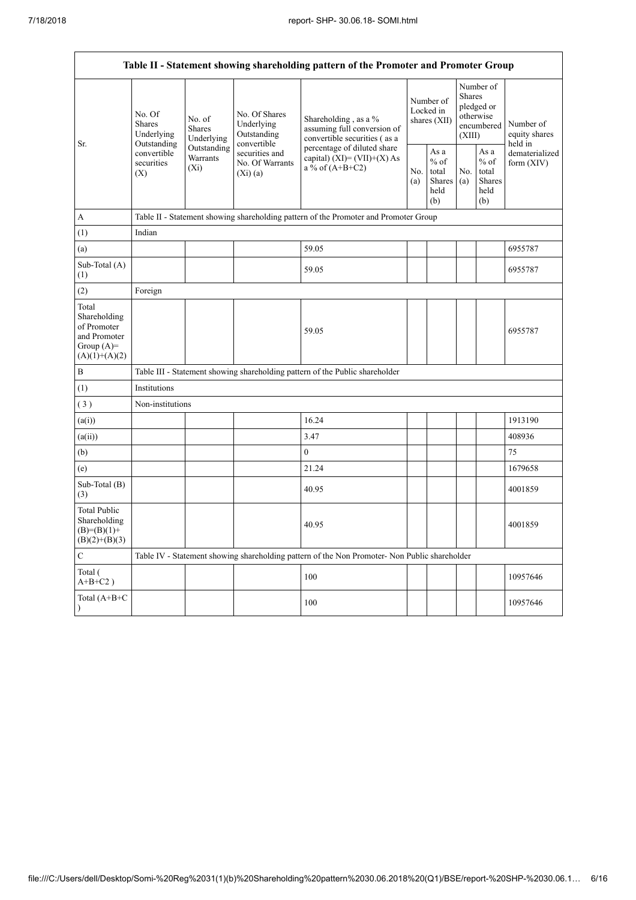| Table II - Statement showing shareholding pattern of the Promoter and Promoter Group    |                                                                                                     |                                       |                                                           |                                                                                               |            |                                                  |            |                                                                               |                                           |  |
|-----------------------------------------------------------------------------------------|-----------------------------------------------------------------------------------------------------|---------------------------------------|-----------------------------------------------------------|-----------------------------------------------------------------------------------------------|------------|--------------------------------------------------|------------|-------------------------------------------------------------------------------|-------------------------------------------|--|
| Sr.                                                                                     | No. Of<br><b>Shares</b><br>Underlying<br>Outstanding<br>convertible<br>securities<br>$(X_i)$<br>(X) | No. of<br><b>Shares</b><br>Underlying | No. Of Shares<br>Underlying<br>Outstanding<br>convertible | Shareholding, as a %<br>assuming full conversion of<br>convertible securities (as a           |            | Number of<br>Locked in<br>shares (XII)           |            | Number of<br><b>Shares</b><br>pledged or<br>otherwise<br>encumbered<br>(XIII) | Number of<br>equity shares                |  |
|                                                                                         |                                                                                                     | Outstanding<br>Warrants               | securities and<br>No. Of Warrants<br>(Xi)(a)              | percentage of diluted share<br>capital) $(XI) = (VII)+(X) As$<br>a % of $(A+B+C2)$            | No.<br>(a) | As a<br>$%$ of<br>total<br>Shares<br>held<br>(b) | No.<br>(a) | As $\mathbf{a}$<br>$%$ of<br>total<br>Shares<br>held<br>(b)                   | held in<br>dematerialized<br>form $(XIV)$ |  |
| A                                                                                       |                                                                                                     |                                       |                                                           | Table II - Statement showing shareholding pattern of the Promoter and Promoter Group          |            |                                                  |            |                                                                               |                                           |  |
| (1)                                                                                     | Indian                                                                                              |                                       |                                                           |                                                                                               |            |                                                  |            |                                                                               |                                           |  |
| (a)                                                                                     |                                                                                                     |                                       |                                                           | 59.05                                                                                         |            |                                                  |            |                                                                               | 6955787                                   |  |
| Sub-Total (A)<br>(1)                                                                    |                                                                                                     |                                       |                                                           | 59.05                                                                                         |            |                                                  |            |                                                                               | 6955787                                   |  |
| (2)                                                                                     | Foreign                                                                                             |                                       |                                                           |                                                                                               |            |                                                  |            |                                                                               |                                           |  |
| Total<br>Shareholding<br>of Promoter<br>and Promoter<br>Group $(A)=$<br>$(A)(1)+(A)(2)$ |                                                                                                     |                                       |                                                           | 59.05                                                                                         |            |                                                  |            |                                                                               | 6955787                                   |  |
| $\, {\bf B}$                                                                            |                                                                                                     |                                       |                                                           | Table III - Statement showing shareholding pattern of the Public shareholder                  |            |                                                  |            |                                                                               |                                           |  |
| (1)                                                                                     | Institutions                                                                                        |                                       |                                                           |                                                                                               |            |                                                  |            |                                                                               |                                           |  |
| (3)                                                                                     | Non-institutions                                                                                    |                                       |                                                           |                                                                                               |            |                                                  |            |                                                                               |                                           |  |
| (a(i))                                                                                  |                                                                                                     |                                       |                                                           | 16.24                                                                                         |            |                                                  |            |                                                                               | 1913190                                   |  |
| (a(ii))                                                                                 |                                                                                                     |                                       |                                                           | 3.47                                                                                          |            |                                                  |            |                                                                               | 408936                                    |  |
| (b)                                                                                     |                                                                                                     |                                       |                                                           | $\mathbf{0}$                                                                                  |            |                                                  |            |                                                                               | 75                                        |  |
| (e)                                                                                     |                                                                                                     |                                       |                                                           | 21.24                                                                                         |            |                                                  |            |                                                                               | 1679658                                   |  |
| Sub-Total (B)<br>(3)                                                                    |                                                                                                     |                                       |                                                           | 40.95                                                                                         |            |                                                  |            |                                                                               | 4001859                                   |  |
| <b>Total Public</b><br>Shareholding<br>$(B)= (B)(1) +$<br>$(B)(2)+(B)(3)$               |                                                                                                     |                                       |                                                           | 40.95                                                                                         |            |                                                  |            |                                                                               | 4001859                                   |  |
| $\mathbf C$                                                                             |                                                                                                     |                                       |                                                           | Table IV - Statement showing shareholding pattern of the Non Promoter- Non Public shareholder |            |                                                  |            |                                                                               |                                           |  |
| Total (<br>$A+B+C2$ )                                                                   |                                                                                                     |                                       |                                                           | 100                                                                                           |            |                                                  |            |                                                                               | 10957646                                  |  |
| Total (A+B+C                                                                            |                                                                                                     |                                       |                                                           | 100                                                                                           |            |                                                  |            |                                                                               | 10957646                                  |  |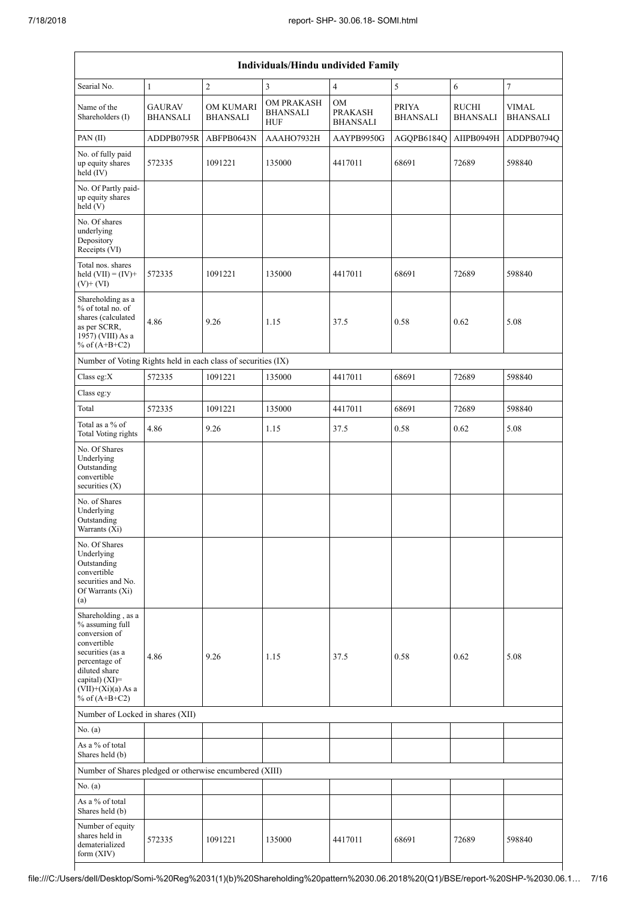| Individuals/Hindu undivided Family                                                                                                                                                       |                                  |                              |                                                    |                                         |                                 |                                 |                                 |  |  |  |
|------------------------------------------------------------------------------------------------------------------------------------------------------------------------------------------|----------------------------------|------------------------------|----------------------------------------------------|-----------------------------------------|---------------------------------|---------------------------------|---------------------------------|--|--|--|
| Searial No.                                                                                                                                                                              | $\mathbf{1}$                     | $\overline{c}$               | $\overline{\mathbf{3}}$                            | $\overline{4}$                          | 5                               | 6                               | $\tau$                          |  |  |  |
| Name of the<br>Shareholders (I)                                                                                                                                                          | <b>GAURAV</b><br><b>BHANSALI</b> | OM KUMARI<br><b>BHANSALI</b> | <b>OM PRAKASH</b><br><b>BHANSALI</b><br><b>HUF</b> | OM<br><b>PRAKASH</b><br><b>BHANSALI</b> | <b>PRIYA</b><br><b>BHANSALI</b> | <b>RUCHI</b><br><b>BHANSALI</b> | <b>VIMAL</b><br><b>BHANSALI</b> |  |  |  |
| PAN(II)                                                                                                                                                                                  | ADDPB0795R                       | ABFPB0643N                   | AAAHO7932H                                         | AAYPB9950G                              | AGQPB6184Q                      | AIIPB0949H                      | ADDPB0794Q                      |  |  |  |
| No. of fully paid<br>up equity shares<br>$\text{held}(\text{IV})$                                                                                                                        | 572335                           | 1091221                      | 135000                                             | 4417011                                 | 68691                           | 72689                           | 598840                          |  |  |  |
| No. Of Partly paid-<br>up equity shares<br>held(V)                                                                                                                                       |                                  |                              |                                                    |                                         |                                 |                                 |                                 |  |  |  |
| No. Of shares<br>underlying<br>Depository<br>Receipts (VI)                                                                                                                               |                                  |                              |                                                    |                                         |                                 |                                 |                                 |  |  |  |
| Total nos. shares<br>held $(VII) = (IV) +$<br>$(V)+(VI)$                                                                                                                                 | 572335                           | 1091221                      | 135000                                             | 4417011                                 | 68691                           | 72689                           | 598840                          |  |  |  |
| Shareholding as a<br>% of total no. of<br>shares (calculated<br>as per SCRR,<br>1957) (VIII) As a<br>% of $(A+B+C2)$                                                                     | 4.86                             | 9.26                         | 1.15                                               | 37.5                                    | 0.58                            | 0.62                            | 5.08                            |  |  |  |
| Number of Voting Rights held in each class of securities (IX)                                                                                                                            |                                  |                              |                                                    |                                         |                                 |                                 |                                 |  |  |  |
| Class eg:X                                                                                                                                                                               | 572335                           | 1091221                      | 135000                                             | 4417011                                 | 68691                           | 72689                           | 598840                          |  |  |  |
| Class eg:y                                                                                                                                                                               |                                  |                              |                                                    |                                         |                                 |                                 |                                 |  |  |  |
| Total                                                                                                                                                                                    | 572335                           | 1091221                      | 135000                                             | 4417011                                 | 68691                           | 72689                           | 598840                          |  |  |  |
| Total as a % of<br><b>Total Voting rights</b>                                                                                                                                            | 4.86                             | 9.26                         | 1.15                                               | 37.5                                    | 0.58                            | 0.62                            | 5.08                            |  |  |  |
| No. Of Shares<br>Underlying<br>Outstanding<br>convertible<br>securities (X)                                                                                                              |                                  |                              |                                                    |                                         |                                 |                                 |                                 |  |  |  |
| No. of Shares<br>Underlying<br>Outstanding<br>Warrants (Xi)                                                                                                                              |                                  |                              |                                                    |                                         |                                 |                                 |                                 |  |  |  |
| No. Of Shares<br>Underlying<br>Outstanding<br>convertible<br>securities and No.<br>Of Warrants (Xi)<br>(a)                                                                               |                                  |                              |                                                    |                                         |                                 |                                 |                                 |  |  |  |
| Shareholding, as a<br>% assuming full<br>conversion of<br>convertible<br>securities (as a<br>percentage of<br>diluted share<br>capital) (XI)=<br>$(VII)+(Xi)(a)$ As a<br>% of $(A+B+C2)$ | 4.86                             | 9.26                         | 1.15                                               | 37.5                                    | 0.58                            | 0.62                            | 5.08                            |  |  |  |
| Number of Locked in shares (XII)                                                                                                                                                         |                                  |                              |                                                    |                                         |                                 |                                 |                                 |  |  |  |
| No. $(a)$                                                                                                                                                                                |                                  |                              |                                                    |                                         |                                 |                                 |                                 |  |  |  |
| As a % of total<br>Shares held (b)                                                                                                                                                       |                                  |                              |                                                    |                                         |                                 |                                 |                                 |  |  |  |
| Number of Shares pledged or otherwise encumbered (XIII)                                                                                                                                  |                                  |                              |                                                    |                                         |                                 |                                 |                                 |  |  |  |
| No. (a)                                                                                                                                                                                  |                                  |                              |                                                    |                                         |                                 |                                 |                                 |  |  |  |
| As a % of total<br>Shares held (b)                                                                                                                                                       |                                  |                              |                                                    |                                         |                                 |                                 |                                 |  |  |  |
| Number of equity<br>shares held in<br>dematerialized<br>form $(XIV)$                                                                                                                     | 572335                           | 1091221                      | 135000                                             | 4417011                                 | 68691                           | 72689                           | 598840                          |  |  |  |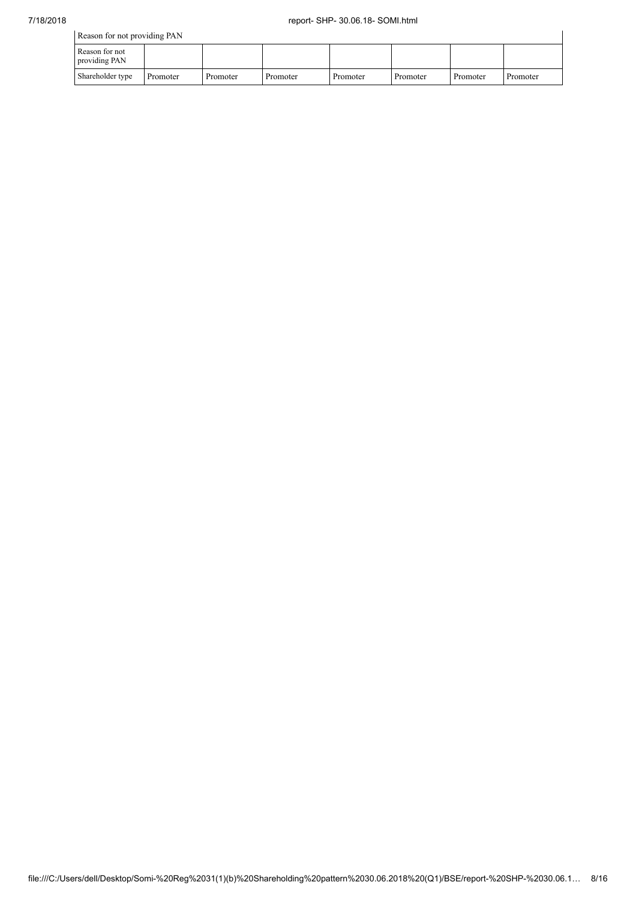| Reason for not providing PAN    |          |          |          |          |          |          |          |  |  |  |
|---------------------------------|----------|----------|----------|----------|----------|----------|----------|--|--|--|
| Reason for not<br>providing PAN |          |          |          |          |          |          |          |  |  |  |
| Shareholder type                | Promoter | Promoter | Promoter | Promoter | Promoter | Promoter | Promoter |  |  |  |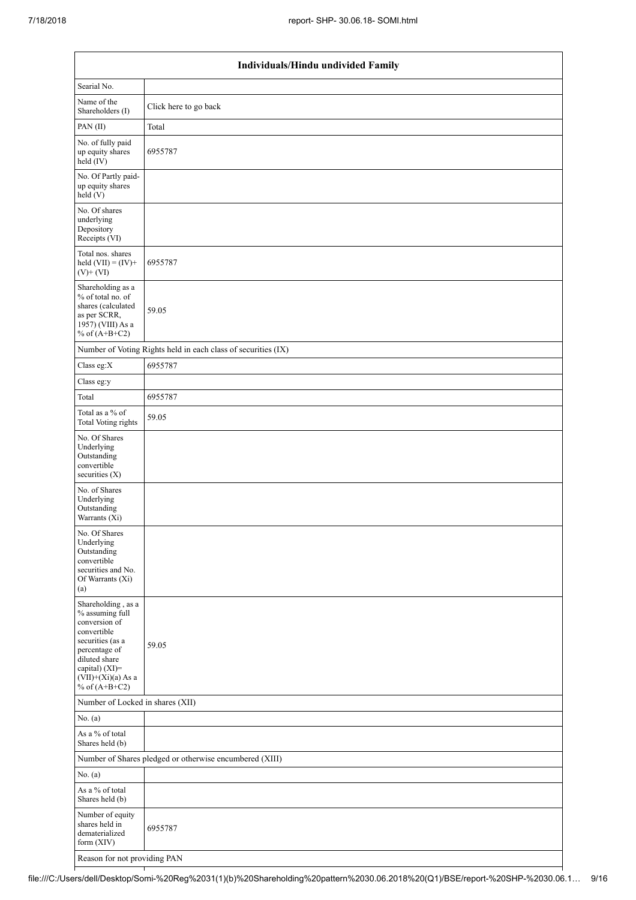| Individuals/Hindu undivided Family                                                                                                                                                       |                                                               |  |  |  |  |  |  |  |
|------------------------------------------------------------------------------------------------------------------------------------------------------------------------------------------|---------------------------------------------------------------|--|--|--|--|--|--|--|
| Searial No.                                                                                                                                                                              |                                                               |  |  |  |  |  |  |  |
| Name of the<br>Shareholders (I)                                                                                                                                                          | Click here to go back                                         |  |  |  |  |  |  |  |
| PAN(II)                                                                                                                                                                                  | Total                                                         |  |  |  |  |  |  |  |
| No. of fully paid<br>up equity shares<br>$held$ (IV)                                                                                                                                     | 6955787                                                       |  |  |  |  |  |  |  |
| No. Of Partly paid-<br>up equity shares<br>$\text{held} (V)$                                                                                                                             |                                                               |  |  |  |  |  |  |  |
| No. Of shares<br>underlying<br>Depository<br>Receipts (VI)                                                                                                                               |                                                               |  |  |  |  |  |  |  |
| Total nos. shares<br>held $(VII) = (IV) +$<br>$(V)$ + $(VI)$                                                                                                                             | 6955787                                                       |  |  |  |  |  |  |  |
| Shareholding as a<br>% of total no. of<br>shares (calculated<br>as per SCRR,<br>1957) (VIII) As a<br>% of $(A+B+C2)$                                                                     | 59.05                                                         |  |  |  |  |  |  |  |
|                                                                                                                                                                                          | Number of Voting Rights held in each class of securities (IX) |  |  |  |  |  |  |  |
| Class eg:X                                                                                                                                                                               | 6955787                                                       |  |  |  |  |  |  |  |
| Class eg:y                                                                                                                                                                               |                                                               |  |  |  |  |  |  |  |
| Total                                                                                                                                                                                    | 6955787                                                       |  |  |  |  |  |  |  |
| Total as a % of<br><b>Total Voting rights</b>                                                                                                                                            | 59.05                                                         |  |  |  |  |  |  |  |
| No. Of Shares<br>Underlying<br>Outstanding<br>convertible<br>securities (X)                                                                                                              |                                                               |  |  |  |  |  |  |  |
| No. of Shares<br>Underlying<br>Outstanding<br>Warrants (Xi)                                                                                                                              |                                                               |  |  |  |  |  |  |  |
| No. Of Shares<br>Underlying<br>Outstanding<br>convertible<br>securities and No.<br>Of Warrants (Xi)<br>(a)                                                                               |                                                               |  |  |  |  |  |  |  |
| Shareholding, as a<br>% assuming full<br>conversion of<br>convertible<br>securities (as a<br>percentage of<br>diluted share<br>capital) (XI)=<br>$(VII)+(Xi)(a)$ As a<br>% of $(A+B+C2)$ | 59.05                                                         |  |  |  |  |  |  |  |
| Number of Locked in shares (XII)                                                                                                                                                         |                                                               |  |  |  |  |  |  |  |
| No. (a)                                                                                                                                                                                  |                                                               |  |  |  |  |  |  |  |
| As a % of total<br>Shares held (b)                                                                                                                                                       |                                                               |  |  |  |  |  |  |  |
|                                                                                                                                                                                          | Number of Shares pledged or otherwise encumbered (XIII)       |  |  |  |  |  |  |  |
| No. (a)                                                                                                                                                                                  |                                                               |  |  |  |  |  |  |  |
| As a % of total<br>Shares held (b)                                                                                                                                                       |                                                               |  |  |  |  |  |  |  |
| Number of equity<br>shares held in<br>dematerialized<br>form (XIV)                                                                                                                       | 6955787                                                       |  |  |  |  |  |  |  |
| Reason for not providing PAN                                                                                                                                                             |                                                               |  |  |  |  |  |  |  |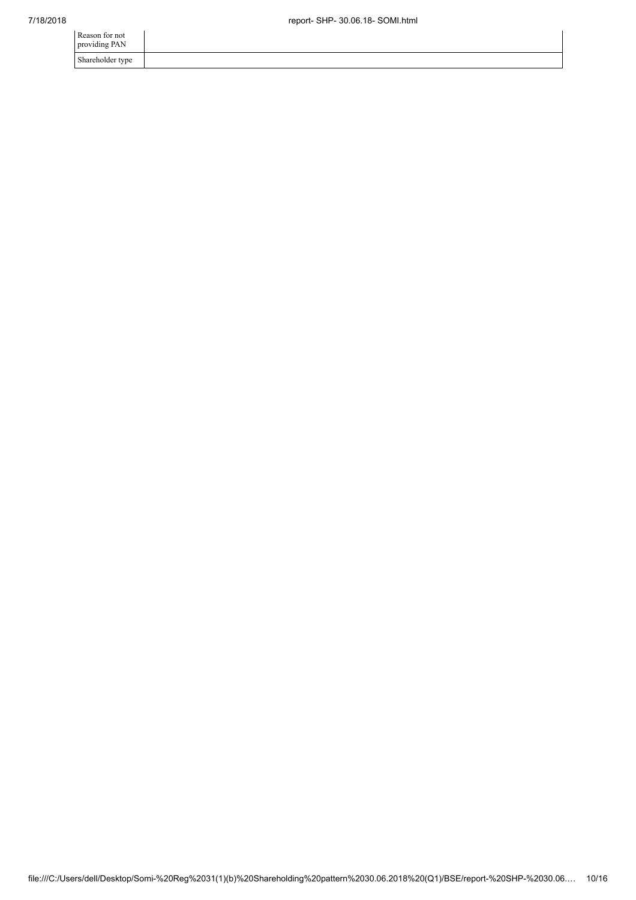| Reason for not<br>providing PAN |  |
|---------------------------------|--|
| Shareholder type                |  |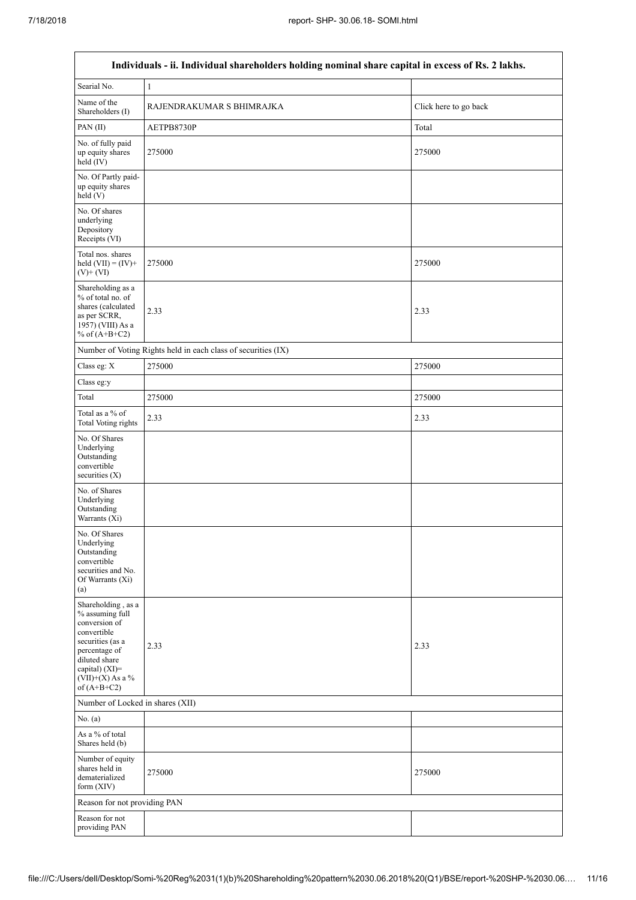П

٦

| Individuals - ii. Individual shareholders holding nominal share capital in excess of Rs. 2 lakhs.                                                                                       |                                                               |                       |  |  |  |  |  |  |  |
|-----------------------------------------------------------------------------------------------------------------------------------------------------------------------------------------|---------------------------------------------------------------|-----------------------|--|--|--|--|--|--|--|
| Searial No.                                                                                                                                                                             | 1                                                             |                       |  |  |  |  |  |  |  |
| Name of the<br>Shareholders (I)                                                                                                                                                         | RAJENDRAKUMAR S BHIMRAJKA                                     | Click here to go back |  |  |  |  |  |  |  |
| PAN $(II)$                                                                                                                                                                              | AETPB8730P                                                    | Total                 |  |  |  |  |  |  |  |
| No. of fully paid<br>up equity shares<br>held (IV)                                                                                                                                      | 275000                                                        | 275000                |  |  |  |  |  |  |  |
| No. Of Partly paid-<br>up equity shares<br>held (V)                                                                                                                                     |                                                               |                       |  |  |  |  |  |  |  |
| No. Of shares<br>underlying<br>Depository<br>Receipts (VI)                                                                                                                              |                                                               |                       |  |  |  |  |  |  |  |
| Total nos. shares<br>held $(VII) = (IV) +$<br>$(V)$ + $(VI)$                                                                                                                            | 275000                                                        | 275000                |  |  |  |  |  |  |  |
| Shareholding as a<br>% of total no. of<br>shares (calculated<br>as per SCRR,<br>1957) (VIII) As a<br>% of $(A+B+C2)$                                                                    | 2.33                                                          | 2.33                  |  |  |  |  |  |  |  |
|                                                                                                                                                                                         | Number of Voting Rights held in each class of securities (IX) |                       |  |  |  |  |  |  |  |
| Class eg: X                                                                                                                                                                             | 275000                                                        | 275000                |  |  |  |  |  |  |  |
| Class eg:y                                                                                                                                                                              |                                                               |                       |  |  |  |  |  |  |  |
| Total                                                                                                                                                                                   | 275000                                                        | 275000                |  |  |  |  |  |  |  |
| Total as a % of<br><b>Total Voting rights</b>                                                                                                                                           | 2.33                                                          | 2.33                  |  |  |  |  |  |  |  |
| No. Of Shares<br>Underlying<br>Outstanding<br>convertible<br>securities $(X)$                                                                                                           |                                                               |                       |  |  |  |  |  |  |  |
| No. of Shares<br>Underlying<br>Outstanding<br>Warrants (Xi)                                                                                                                             |                                                               |                       |  |  |  |  |  |  |  |
| No. Of Shares<br>Underlying<br>Outstanding<br>convertible<br>securities and No.<br>Of Warrants (Xi)<br>(a)                                                                              |                                                               |                       |  |  |  |  |  |  |  |
| Shareholding, as a<br>% assuming full<br>conversion of<br>convertible<br>securities (as a<br>percentage of<br>diluted share<br>capital) $(XI)$ =<br>$(VII)+(X)$ As a %<br>of $(A+B+C2)$ | 2.33                                                          | 2.33                  |  |  |  |  |  |  |  |
| Number of Locked in shares (XII)                                                                                                                                                        |                                                               |                       |  |  |  |  |  |  |  |
| No. (a)                                                                                                                                                                                 |                                                               |                       |  |  |  |  |  |  |  |
| As a % of total<br>Shares held (b)                                                                                                                                                      |                                                               |                       |  |  |  |  |  |  |  |
| Number of equity<br>shares held in<br>dematerialized<br>form (XIV)                                                                                                                      | 275000                                                        | 275000                |  |  |  |  |  |  |  |
| Reason for not providing PAN                                                                                                                                                            |                                                               |                       |  |  |  |  |  |  |  |
| Reason for not<br>providing PAN                                                                                                                                                         |                                                               |                       |  |  |  |  |  |  |  |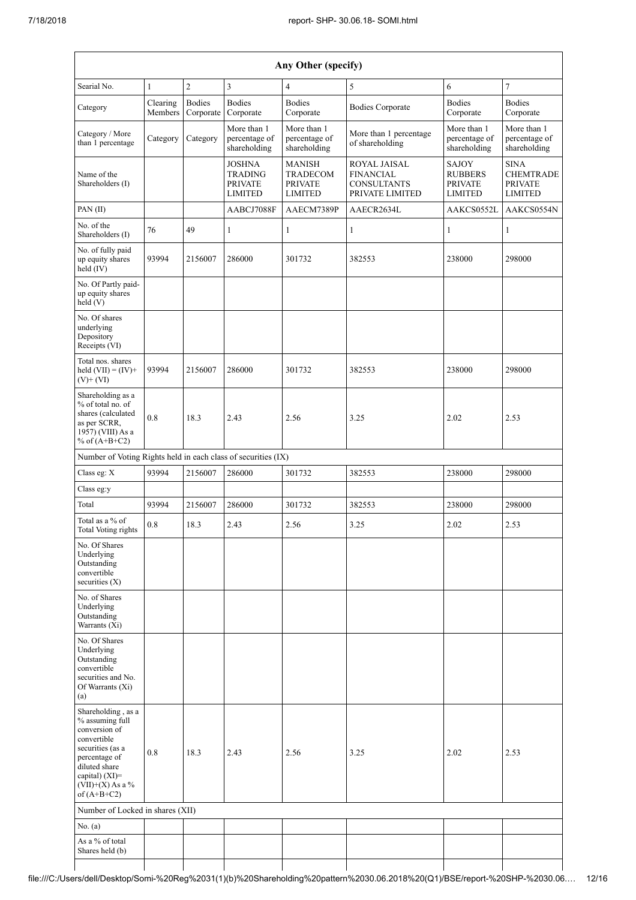| Any Other (specify)                                                                                                                                                                  |                     |                            |                                                              |                                                                      |                                                                                  |                                                             |                                                                     |  |  |  |  |
|--------------------------------------------------------------------------------------------------------------------------------------------------------------------------------------|---------------------|----------------------------|--------------------------------------------------------------|----------------------------------------------------------------------|----------------------------------------------------------------------------------|-------------------------------------------------------------|---------------------------------------------------------------------|--|--|--|--|
| Searial No.                                                                                                                                                                          | $\mathbf{1}$        | $\overline{c}$             | 3                                                            | $\overline{4}$                                                       | 5                                                                                | 6                                                           | $\overline{7}$                                                      |  |  |  |  |
| Category                                                                                                                                                                             | Clearing<br>Members | <b>Bodies</b><br>Corporate | <b>Bodies</b><br>Corporate                                   | <b>Bodies</b><br>Corporate                                           | <b>Bodies Corporate</b>                                                          | <b>Bodies</b><br>Corporate                                  | <b>Bodies</b><br>Corporate                                          |  |  |  |  |
| Category / More<br>than 1 percentage                                                                                                                                                 | Category            | Category                   | More than 1<br>percentage of<br>shareholding                 | More than 1<br>percentage of<br>shareholding                         | More than 1 percentage<br>of shareholding                                        | More than 1<br>percentage of<br>shareholding                | More than 1<br>percentage of<br>shareholding                        |  |  |  |  |
| Name of the<br>Shareholders (I)                                                                                                                                                      |                     |                            | JOSHNA<br><b>TRADING</b><br><b>PRIVATE</b><br><b>LIMITED</b> | <b>MANISH</b><br><b>TRADECOM</b><br><b>PRIVATE</b><br><b>LIMITED</b> | <b>ROYAL JAISAL</b><br><b>FINANCIAL</b><br><b>CONSULTANTS</b><br>PRIVATE LIMITED | SAJOY<br><b>RUBBERS</b><br><b>PRIVATE</b><br><b>LIMITED</b> | <b>SINA</b><br><b>CHEMTRADE</b><br><b>PRIVATE</b><br><b>LIMITED</b> |  |  |  |  |
| PAN(II)                                                                                                                                                                              |                     |                            | AABCJ7088F                                                   | AAECM7389P                                                           | AAECR2634L                                                                       | AAKCS0552L                                                  | AAKCS0554N                                                          |  |  |  |  |
| No. of the<br>Shareholders (I)                                                                                                                                                       | 76                  | 49                         | $\mathbf{1}$                                                 | 1                                                                    | 1                                                                                | 1                                                           | 1                                                                   |  |  |  |  |
| No. of fully paid<br>up equity shares<br>held (IV)                                                                                                                                   | 93994               | 2156007                    | 286000                                                       | 301732                                                               | 382553                                                                           | 238000                                                      | 298000                                                              |  |  |  |  |
| No. Of Partly paid-<br>up equity shares<br>held (V)                                                                                                                                  |                     |                            |                                                              |                                                                      |                                                                                  |                                                             |                                                                     |  |  |  |  |
| No. Of shares<br>underlying<br>Depository<br>Receipts (VI)                                                                                                                           |                     |                            |                                                              |                                                                      |                                                                                  |                                                             |                                                                     |  |  |  |  |
| Total nos. shares<br>held $(VII) = (IV) +$<br>$(V)+(VI)$                                                                                                                             | 93994               | 2156007                    | 286000                                                       | 301732                                                               | 382553                                                                           | 238000                                                      | 298000                                                              |  |  |  |  |
| Shareholding as a<br>% of total no. of<br>shares (calculated<br>as per SCRR,<br>1957) (VIII) As a<br>% of $(A+B+C2)$                                                                 | 0.8                 | 18.3                       | 2.43                                                         | 2.56                                                                 | 3.25                                                                             | 2.02                                                        | 2.53                                                                |  |  |  |  |
| Number of Voting Rights held in each class of securities (IX)                                                                                                                        |                     |                            |                                                              |                                                                      |                                                                                  |                                                             |                                                                     |  |  |  |  |
| Class eg: X                                                                                                                                                                          | 93994               | 2156007                    | 286000                                                       | 301732                                                               | 382553                                                                           | 238000                                                      | 298000                                                              |  |  |  |  |
| Class eg:y                                                                                                                                                                           |                     |                            |                                                              |                                                                      |                                                                                  |                                                             |                                                                     |  |  |  |  |
| Total                                                                                                                                                                                | 93994               | 2156007                    | 286000                                                       | 301732                                                               | 382553                                                                           | 238000                                                      | 298000                                                              |  |  |  |  |
| Total as a % of<br>Total Voting rights                                                                                                                                               | 0.8                 | 18.3                       | 2.43                                                         | 2.56                                                                 | 3.25                                                                             | 2.02                                                        | 2.53                                                                |  |  |  |  |
| No. Of Shares<br>Underlying<br>Outstanding<br>convertible<br>securities (X)                                                                                                          |                     |                            |                                                              |                                                                      |                                                                                  |                                                             |                                                                     |  |  |  |  |
| No. of Shares<br>Underlying<br>Outstanding<br>Warrants (Xi)                                                                                                                          |                     |                            |                                                              |                                                                      |                                                                                  |                                                             |                                                                     |  |  |  |  |
| No. Of Shares<br>Underlying<br>Outstanding<br>convertible<br>securities and No.<br>Of Warrants (Xi)<br>(a)                                                                           |                     |                            |                                                              |                                                                      |                                                                                  |                                                             |                                                                     |  |  |  |  |
| Shareholding, as a<br>% assuming full<br>conversion of<br>convertible<br>securities (as a<br>percentage of<br>diluted share<br>capital) (XI)=<br>$(VII)+(X)$ As a %<br>of $(A+B+C2)$ | 0.8                 | 18.3                       | 2.43                                                         | 2.56                                                                 | 3.25                                                                             | 2.02                                                        | 2.53                                                                |  |  |  |  |
| Number of Locked in shares (XII)                                                                                                                                                     |                     |                            |                                                              |                                                                      |                                                                                  |                                                             |                                                                     |  |  |  |  |
| No. $(a)$                                                                                                                                                                            |                     |                            |                                                              |                                                                      |                                                                                  |                                                             |                                                                     |  |  |  |  |
| As a % of total<br>Shares held (b)                                                                                                                                                   |                     |                            |                                                              |                                                                      |                                                                                  |                                                             |                                                                     |  |  |  |  |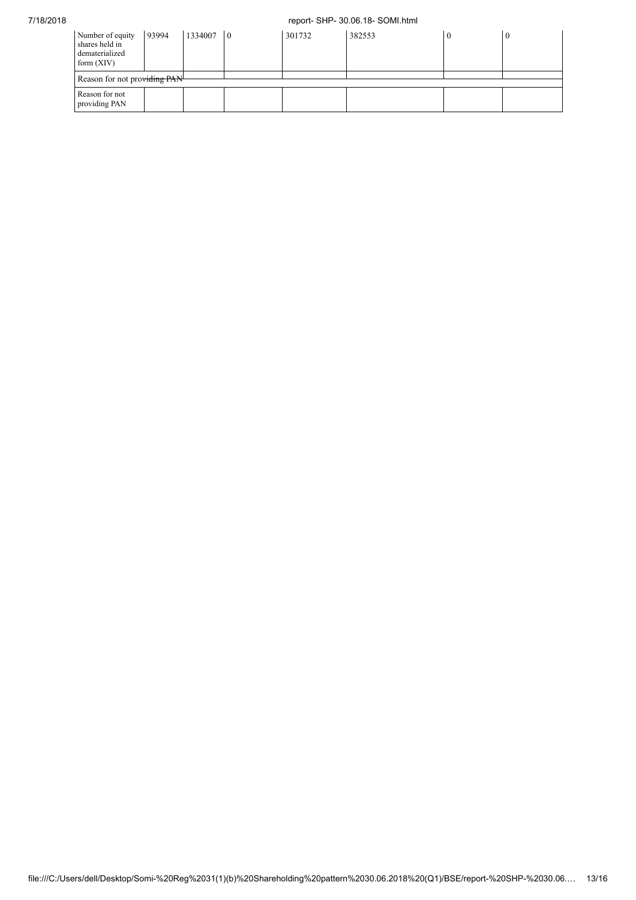## 7/18/2018 report- SHP- 30.06.18- SOMI.html

| Number of equity<br>shares held in<br>dematerialized<br>form $(XIV)$ | 93994 | 1334007 | $\overline{0}$ | 301732 | 382553 |  | $\theta$ |
|----------------------------------------------------------------------|-------|---------|----------------|--------|--------|--|----------|
| Reason for not providing PAN                                         |       |         |                |        |        |  |          |
| Reason for not<br>providing PAN                                      |       |         |                |        |        |  |          |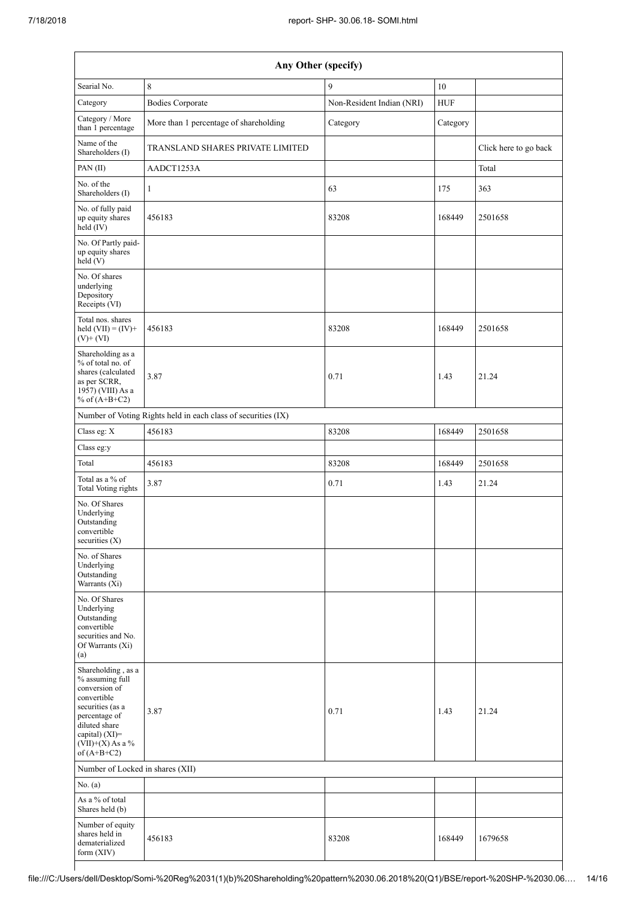| Any Other (specify)                                                                                                                                                                  |                                                               |                           |            |                       |  |  |  |  |
|--------------------------------------------------------------------------------------------------------------------------------------------------------------------------------------|---------------------------------------------------------------|---------------------------|------------|-----------------------|--|--|--|--|
| Searial No.                                                                                                                                                                          | 8                                                             | 9                         | $10\,$     |                       |  |  |  |  |
| Category                                                                                                                                                                             | <b>Bodies Corporate</b>                                       | Non-Resident Indian (NRI) | <b>HUF</b> |                       |  |  |  |  |
| Category / More<br>than 1 percentage                                                                                                                                                 | More than 1 percentage of shareholding                        | Category                  | Category   |                       |  |  |  |  |
| Name of the<br>Shareholders (I)                                                                                                                                                      | TRANSLAND SHARES PRIVATE LIMITED                              |                           |            | Click here to go back |  |  |  |  |
| PAN(II)                                                                                                                                                                              | AADCT1253A                                                    |                           |            | Total                 |  |  |  |  |
| No. of the<br>Shareholders (I)                                                                                                                                                       | $\mathbf{1}$                                                  | 63                        | 175        | 363                   |  |  |  |  |
| No. of fully paid<br>up equity shares<br>$\text{held}(\text{IV})$                                                                                                                    | 456183                                                        | 83208                     | 168449     | 2501658               |  |  |  |  |
| No. Of Partly paid-<br>up equity shares<br>held (V)                                                                                                                                  |                                                               |                           |            |                       |  |  |  |  |
| No. Of shares<br>underlying<br>Depository<br>Receipts (VI)                                                                                                                           |                                                               |                           |            |                       |  |  |  |  |
| Total nos, shares<br>held $(VII) = (IV) +$<br>$(V)$ + $(VI)$                                                                                                                         | 456183                                                        | 83208                     | 168449     | 2501658               |  |  |  |  |
| Shareholding as a<br>% of total no. of<br>shares (calculated<br>as per SCRR,<br>1957) (VIII) As a<br>% of $(A+B+C2)$                                                                 | 3.87                                                          | 0.71                      | 1.43       | 21.24                 |  |  |  |  |
|                                                                                                                                                                                      | Number of Voting Rights held in each class of securities (IX) |                           |            |                       |  |  |  |  |
| Class eg: X                                                                                                                                                                          | 456183                                                        | 83208                     | 168449     | 2501658               |  |  |  |  |
| Class eg:y                                                                                                                                                                           |                                                               |                           |            |                       |  |  |  |  |
| Total                                                                                                                                                                                | 456183                                                        | 83208                     | 168449     | 2501658               |  |  |  |  |
| Total as a % of<br><b>Total Voting rights</b>                                                                                                                                        | 3.87                                                          | 0.71                      | 1.43       | 21.24                 |  |  |  |  |
| No. Of Shares<br>Underlying<br>Outstanding<br>convertible<br>securities (X)                                                                                                          |                                                               |                           |            |                       |  |  |  |  |
| No. of Shares<br>Underlying<br>Outstanding<br>Warrants (Xi)                                                                                                                          |                                                               |                           |            |                       |  |  |  |  |
| No. Of Shares<br>Underlying<br>Outstanding<br>convertible<br>securities and No.<br>Of Warrants (Xi)<br>(a)                                                                           |                                                               |                           |            |                       |  |  |  |  |
| Shareholding, as a<br>% assuming full<br>conversion of<br>convertible<br>securities (as a<br>percentage of<br>diluted share<br>capital) (XI)=<br>$(VII)+(X)$ As a %<br>of $(A+B+C2)$ | 3.87                                                          | 0.71                      | 1.43       | 21.24                 |  |  |  |  |
| Number of Locked in shares (XII)                                                                                                                                                     |                                                               |                           |            |                       |  |  |  |  |
| No. (a)                                                                                                                                                                              |                                                               |                           |            |                       |  |  |  |  |
| As a % of total<br>Shares held (b)                                                                                                                                                   |                                                               |                           |            |                       |  |  |  |  |
| Number of equity<br>shares held in<br>dematerialized<br>form (XIV)                                                                                                                   | 456183                                                        | 83208                     | 168449     | 1679658               |  |  |  |  |